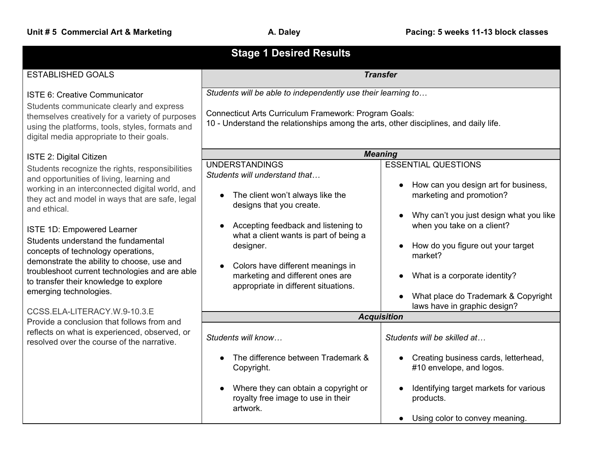| <b>Stage 1 Desired Results</b>                                                                                                                                                                                                                                                                                                                                                                                                                                                                           |                                                                                                                                                                                                                                                                                                                                                    |                                                                                                                                                                                                                                                                                                                                                                        |  |
|----------------------------------------------------------------------------------------------------------------------------------------------------------------------------------------------------------------------------------------------------------------------------------------------------------------------------------------------------------------------------------------------------------------------------------------------------------------------------------------------------------|----------------------------------------------------------------------------------------------------------------------------------------------------------------------------------------------------------------------------------------------------------------------------------------------------------------------------------------------------|------------------------------------------------------------------------------------------------------------------------------------------------------------------------------------------------------------------------------------------------------------------------------------------------------------------------------------------------------------------------|--|
|                                                                                                                                                                                                                                                                                                                                                                                                                                                                                                          |                                                                                                                                                                                                                                                                                                                                                    |                                                                                                                                                                                                                                                                                                                                                                        |  |
| <b>ESTABLISHED GOALS</b>                                                                                                                                                                                                                                                                                                                                                                                                                                                                                 | <b>Transfer</b>                                                                                                                                                                                                                                                                                                                                    |                                                                                                                                                                                                                                                                                                                                                                        |  |
| <b>ISTE 6: Creative Communicator</b><br>Students communicate clearly and express<br>themselves creatively for a variety of purposes<br>using the platforms, tools, styles, formats and<br>digital media appropriate to their goals.                                                                                                                                                                                                                                                                      | Students will be able to independently use their learning to<br>Connecticut Arts Curriculum Framework: Program Goals:<br>10 - Understand the relationships among the arts, other disciplines, and daily life.                                                                                                                                      |                                                                                                                                                                                                                                                                                                                                                                        |  |
| ISTE 2: Digital Citizen                                                                                                                                                                                                                                                                                                                                                                                                                                                                                  |                                                                                                                                                                                                                                                                                                                                                    | <b>Meaning</b>                                                                                                                                                                                                                                                                                                                                                         |  |
| Students recognize the rights, responsibilities<br>and opportunities of living, learning and<br>working in an interconnected digital world, and<br>they act and model in ways that are safe, legal<br>and ethical.<br><b>ISTE 1D: Empowered Learner</b><br>Students understand the fundamental<br>concepts of technology operations,<br>demonstrate the ability to choose, use and<br>troubleshoot current technologies and are able<br>to transfer their knowledge to explore<br>emerging technologies. | <b>UNDERSTANDINGS</b><br>Students will understand that<br>The client won't always like the<br>$\bullet$<br>designs that you create.<br>Accepting feedback and listening to<br>what a client wants is part of being a<br>designer.<br>Colors have different meanings in<br>marketing and different ones are<br>appropriate in different situations. | <b>ESSENTIAL QUESTIONS</b><br>How can you design art for business,<br>$\bullet$<br>marketing and promotion?<br>Why can't you just design what you like<br>$\bullet$<br>when you take on a client?<br>How do you figure out your target<br>$\bullet$<br>market?<br>What is a corporate identity?<br>What place do Trademark & Copyright<br>laws have in graphic design? |  |
| CCSS.ELA-LITERACY.W.9-10.3.E<br>Provide a conclusion that follows from and                                                                                                                                                                                                                                                                                                                                                                                                                               | <b>Acquisition</b>                                                                                                                                                                                                                                                                                                                                 |                                                                                                                                                                                                                                                                                                                                                                        |  |
| reflects on what is experienced, observed, or<br>resolved over the course of the narrative.                                                                                                                                                                                                                                                                                                                                                                                                              | Students will know                                                                                                                                                                                                                                                                                                                                 | Students will be skilled at                                                                                                                                                                                                                                                                                                                                            |  |
|                                                                                                                                                                                                                                                                                                                                                                                                                                                                                                          | The difference between Trademark &<br>Copyright.                                                                                                                                                                                                                                                                                                   | Creating business cards, letterhead,<br>#10 envelope, and logos.                                                                                                                                                                                                                                                                                                       |  |
|                                                                                                                                                                                                                                                                                                                                                                                                                                                                                                          | Where they can obtain a copyright or<br>royalty free image to use in their<br>artwork.                                                                                                                                                                                                                                                             | Identifying target markets for various<br>products.<br>Using color to convey meaning.<br>$\bullet$                                                                                                                                                                                                                                                                     |  |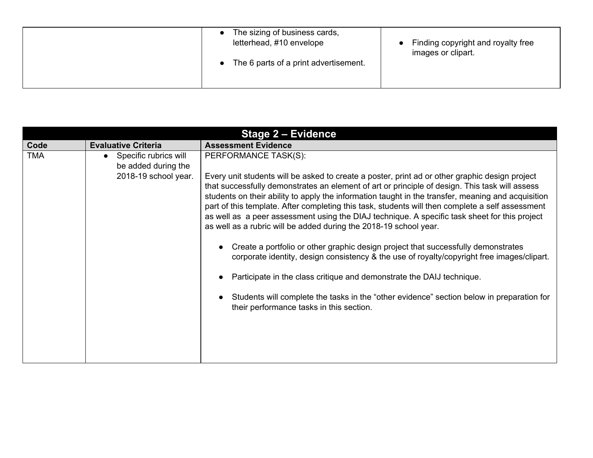| The sizing of business cards,<br>letterhead, #10 envelope<br>The 6 parts of a print advertisement. | Finding copyright and royalty free<br>images or clipart. |
|----------------------------------------------------------------------------------------------------|----------------------------------------------------------|
|----------------------------------------------------------------------------------------------------|----------------------------------------------------------|

| <b>Evaluative Criteria</b><br><b>Assessment Evidence</b><br>Code                                                                                                                                                                                                                                                                                                                                                                                                                                                                                                                                                                                                                                                                                                                                                                                                                                                                                                                                                                                                                                    | Stage 2 - Evidence |  |  |
|-----------------------------------------------------------------------------------------------------------------------------------------------------------------------------------------------------------------------------------------------------------------------------------------------------------------------------------------------------------------------------------------------------------------------------------------------------------------------------------------------------------------------------------------------------------------------------------------------------------------------------------------------------------------------------------------------------------------------------------------------------------------------------------------------------------------------------------------------------------------------------------------------------------------------------------------------------------------------------------------------------------------------------------------------------------------------------------------------------|--------------------|--|--|
|                                                                                                                                                                                                                                                                                                                                                                                                                                                                                                                                                                                                                                                                                                                                                                                                                                                                                                                                                                                                                                                                                                     |                    |  |  |
| <b>TMA</b><br>PERFORMANCE TASK(S):<br>Specific rubrics will<br>be added during the<br>2018-19 school year.<br>Every unit students will be asked to create a poster, print ad or other graphic design project<br>that successfully demonstrates an element of art or principle of design. This task will assess<br>students on their ability to apply the information taught in the transfer, meaning and acquisition<br>part of this template. After completing this task, students will then complete a self assessment<br>as well as a peer assessment using the DIAJ technique. A specific task sheet for this project<br>as well as a rubric will be added during the 2018-19 school year.<br>Create a portfolio or other graphic design project that successfully demonstrates<br>corporate identity, design consistency & the use of royalty/copyright free images/clipart.<br>Participate in the class critique and demonstrate the DAIJ technique.<br>Students will complete the tasks in the "other evidence" section below in preparation for<br>their performance tasks in this section. |                    |  |  |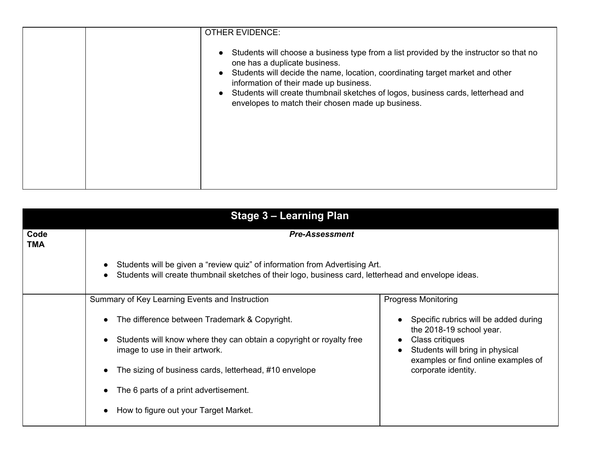| <b>OTHER EVIDENCE:</b>                                                                                                                                                                                                                                                                                                                                                                      |
|---------------------------------------------------------------------------------------------------------------------------------------------------------------------------------------------------------------------------------------------------------------------------------------------------------------------------------------------------------------------------------------------|
| Students will choose a business type from a list provided by the instructor so that no<br>one has a duplicate business.<br>Students will decide the name, location, coordinating target market and other<br>information of their made up business.<br>Students will create thumbnail sketches of logos, business cards, letterhead and<br>envelopes to match their chosen made up business. |
|                                                                                                                                                                                                                                                                                                                                                                                             |

| Stage 3 - Learning Plan |                                                                                                                                                                                                               |                                                                                                        |
|-------------------------|---------------------------------------------------------------------------------------------------------------------------------------------------------------------------------------------------------------|--------------------------------------------------------------------------------------------------------|
| Code<br>TMA             | <b>Pre-Assessment</b>                                                                                                                                                                                         |                                                                                                        |
|                         | Students will be given a "review quiz" of information from Advertising Art.<br>$\bullet$<br>Students will create thumbnail sketches of their logo, business card, letterhead and envelope ideas.<br>$\bullet$ |                                                                                                        |
|                         | Summary of Key Learning Events and Instruction                                                                                                                                                                | <b>Progress Monitoring</b>                                                                             |
|                         | The difference between Trademark & Copyright.<br>$\bullet$                                                                                                                                                    | Specific rubrics will be added during<br>the 2018-19 school year.                                      |
|                         | Students will know where they can obtain a copyright or royalty free<br>$\bullet$<br>image to use in their artwork.                                                                                           | Class critiques<br>Students will bring in physical<br>$\bullet$<br>examples or find online examples of |
|                         | The sizing of business cards, letterhead, #10 envelope<br>$\bullet$                                                                                                                                           | corporate identity.                                                                                    |
|                         | The 6 parts of a print advertisement.<br>$\bullet$                                                                                                                                                            |                                                                                                        |
|                         | How to figure out your Target Market.<br>$\bullet$                                                                                                                                                            |                                                                                                        |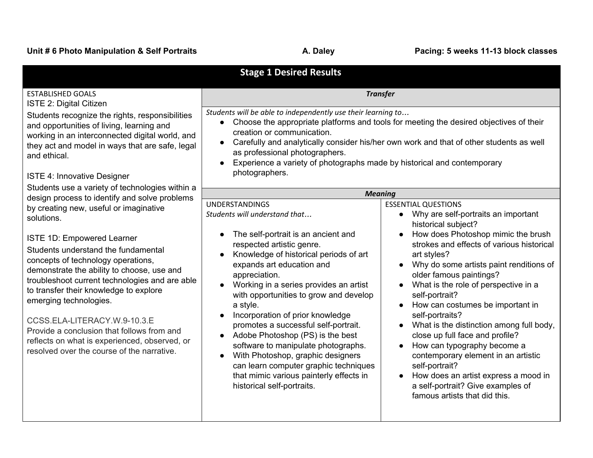|                                                                                                                                                                                                                                                                                                                                                                                                                                                                                                                  | <b>Stage 1 Desired Results</b>                                                                                                                                                                                                                                                                                                                                                                                                                                                                                                                                                                                                   |                                                                                                                                                                                                                                                                                                                                                                                                                                                                                                                                                                                                                                                                                                                                                      |
|------------------------------------------------------------------------------------------------------------------------------------------------------------------------------------------------------------------------------------------------------------------------------------------------------------------------------------------------------------------------------------------------------------------------------------------------------------------------------------------------------------------|----------------------------------------------------------------------------------------------------------------------------------------------------------------------------------------------------------------------------------------------------------------------------------------------------------------------------------------------------------------------------------------------------------------------------------------------------------------------------------------------------------------------------------------------------------------------------------------------------------------------------------|------------------------------------------------------------------------------------------------------------------------------------------------------------------------------------------------------------------------------------------------------------------------------------------------------------------------------------------------------------------------------------------------------------------------------------------------------------------------------------------------------------------------------------------------------------------------------------------------------------------------------------------------------------------------------------------------------------------------------------------------------|
| <b>ESTABLISHED GOALS</b><br>ISTE 2: Digital Citizen<br>Students recognize the rights, responsibilities<br>and opportunities of living, learning and<br>working in an interconnected digital world, and<br>they act and model in ways that are safe, legal<br>and ethical.                                                                                                                                                                                                                                        | <b>Transfer</b><br>Students will be able to independently use their learning to<br>Choose the appropriate platforms and tools for meeting the desired objectives of their<br>$\bullet$<br>creation or communication.<br>Carefully and analytically consider his/her own work and that of other students as well<br>$\bullet$<br>as professional photographers.<br>Experience a variety of photographs made by historical and contemporary<br>photographers.                                                                                                                                                                      |                                                                                                                                                                                                                                                                                                                                                                                                                                                                                                                                                                                                                                                                                                                                                      |
| <b>ISTE 4: Innovative Designer</b>                                                                                                                                                                                                                                                                                                                                                                                                                                                                               |                                                                                                                                                                                                                                                                                                                                                                                                                                                                                                                                                                                                                                  |                                                                                                                                                                                                                                                                                                                                                                                                                                                                                                                                                                                                                                                                                                                                                      |
| Students use a variety of technologies within a<br>design process to identify and solve problems                                                                                                                                                                                                                                                                                                                                                                                                                 |                                                                                                                                                                                                                                                                                                                                                                                                                                                                                                                                                                                                                                  | <b>Meaning</b>                                                                                                                                                                                                                                                                                                                                                                                                                                                                                                                                                                                                                                                                                                                                       |
| by creating new, useful or imaginative<br>solutions.<br>ISTE 1D: Empowered Learner<br>Students understand the fundamental<br>concepts of technology operations,<br>demonstrate the ability to choose, use and<br>troubleshoot current technologies and are able<br>to transfer their knowledge to explore<br>emerging technologies.<br>CCSS.ELA-LITERACY.W.9-10.3.E<br>Provide a conclusion that follows from and<br>reflects on what is experienced, observed, or<br>resolved over the course of the narrative. | <b>UNDERSTANDINGS</b><br>Students will understand that<br>The self-portrait is an ancient and<br>respected artistic genre.<br>Knowledge of historical periods of art<br>expands art education and<br>appreciation.<br>Working in a series provides an artist<br>with opportunities to grow and develop<br>a style.<br>Incorporation of prior knowledge<br>promotes a successful self-portrait.<br>Adobe Photoshop (PS) is the best<br>software to manipulate photographs.<br>With Photoshop, graphic designers<br>can learn computer graphic techniques<br>that mimic various painterly effects in<br>historical self-portraits. | <b>ESSENTIAL QUESTIONS</b><br>Why are self-portraits an important<br>$\bullet$<br>historical subject?<br>How does Photoshop mimic the brush<br>$\bullet$<br>strokes and effects of various historical<br>art styles?<br>Why do some artists paint renditions of<br>$\bullet$<br>older famous paintings?<br>What is the role of perspective in a<br>$\bullet$<br>self-portrait?<br>How can costumes be important in<br>self-portraits?<br>What is the distinction among full body,<br>close up full face and profile?<br>How can typography become a<br>$\bullet$<br>contemporary element in an artistic<br>self-portrait?<br>How does an artist express a mood in<br>$\bullet$<br>a self-portrait? Give examples of<br>famous artists that did this. |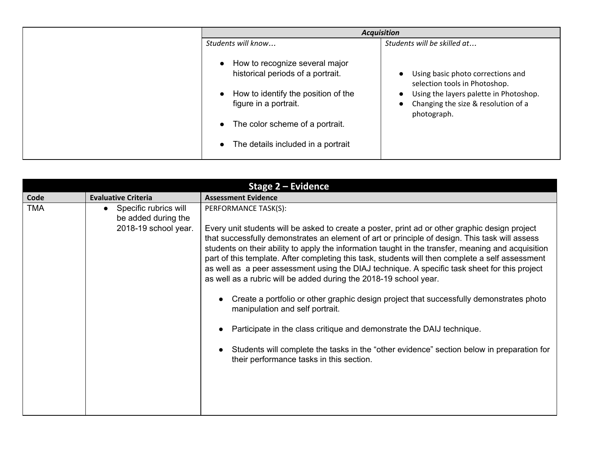| <b>Acquisition</b>                                                                                                                                                                                           |                                                                                                                                                                    |
|--------------------------------------------------------------------------------------------------------------------------------------------------------------------------------------------------------------|--------------------------------------------------------------------------------------------------------------------------------------------------------------------|
| Students will know                                                                                                                                                                                           | Students will be skilled at                                                                                                                                        |
| How to recognize several major<br>historical periods of a portrait.<br>How to identify the position of the<br>figure in a portrait.<br>The color scheme of a portrait.<br>The details included in a portrait | Using basic photo corrections and<br>selection tools in Photoshop.<br>Using the layers palette in Photoshop.<br>Changing the size & resolution of a<br>photograph. |

| <b>Stage 2 - Evidence</b> |                                                                        |                                                                                                                                                                                                                                                                                                                                                                                                                                                                                                                                                                                                                                                                                                                                                                                                                                                                                                                                                          |
|---------------------------|------------------------------------------------------------------------|----------------------------------------------------------------------------------------------------------------------------------------------------------------------------------------------------------------------------------------------------------------------------------------------------------------------------------------------------------------------------------------------------------------------------------------------------------------------------------------------------------------------------------------------------------------------------------------------------------------------------------------------------------------------------------------------------------------------------------------------------------------------------------------------------------------------------------------------------------------------------------------------------------------------------------------------------------|
| Code                      | <b>Evaluative Criteria</b>                                             | <b>Assessment Evidence</b>                                                                                                                                                                                                                                                                                                                                                                                                                                                                                                                                                                                                                                                                                                                                                                                                                                                                                                                               |
| <b>TMA</b>                | • Specific rubrics will<br>be added during the<br>2018-19 school year. | PERFORMANCE TASK(S):<br>Every unit students will be asked to create a poster, print ad or other graphic design project<br>that successfully demonstrates an element of art or principle of design. This task will assess<br>students on their ability to apply the information taught in the transfer, meaning and acquisition<br>part of this template. After completing this task, students will then complete a self assessment<br>as well as a peer assessment using the DIAJ technique. A specific task sheet for this project<br>as well as a rubric will be added during the 2018-19 school year.<br>Create a portfolio or other graphic design project that successfully demonstrates photo<br>manipulation and self portrait.<br>Participate in the class critique and demonstrate the DAIJ technique.<br>Students will complete the tasks in the "other evidence" section below in preparation for<br>their performance tasks in this section. |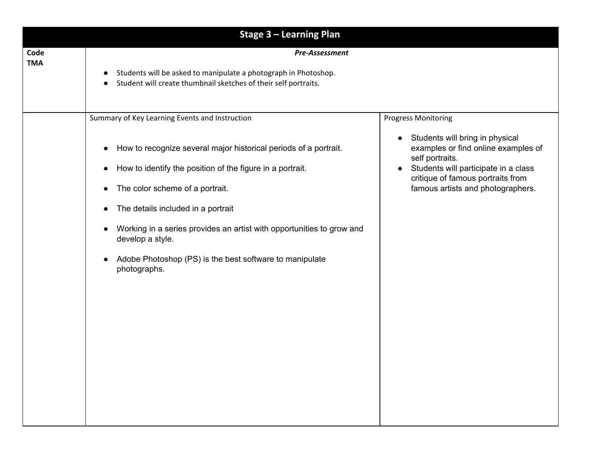|                    | <b>Stage 3 - Learning Plan</b>                                                                                                                                                                                                                                                                                                                                                                                                                                                                                 |                                                                                                                                                                                                                                                        |
|--------------------|----------------------------------------------------------------------------------------------------------------------------------------------------------------------------------------------------------------------------------------------------------------------------------------------------------------------------------------------------------------------------------------------------------------------------------------------------------------------------------------------------------------|--------------------------------------------------------------------------------------------------------------------------------------------------------------------------------------------------------------------------------------------------------|
| Code<br><b>TMA</b> | Pre-Assessment<br>Students will be asked to manipulate a photograph in Photoshop.<br>$\bullet$<br>Student will create thumbnail sketches of their self portraits.<br>$\bullet$                                                                                                                                                                                                                                                                                                                                 |                                                                                                                                                                                                                                                        |
|                    | Summary of Key Learning Events and Instruction<br>How to recognize several major historical periods of a portrait.<br>$\bullet$<br>How to identify the position of the figure in a portrait.<br>$\bullet$<br>The color scheme of a portrait.<br>$\bullet$<br>The details included in a portrait<br>$\bullet$<br>Working in a series provides an artist with opportunities to grow and<br>$\bullet$<br>develop a style.<br>Adobe Photoshop (PS) is the best software to manipulate<br>$\bullet$<br>photographs. | <b>Progress Monitoring</b><br>Students will bring in physical<br>examples or find online examples of<br>self portraits.<br>Students will participate in a class<br>$\bullet$<br>critique of famous portraits from<br>famous artists and photographers. |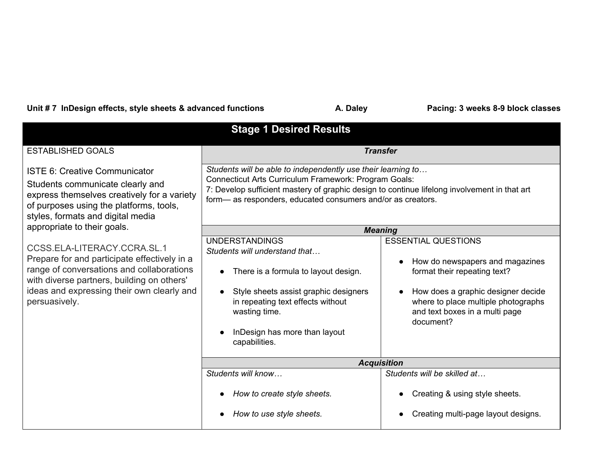Unit # 7 InDesign effects, style sheets & advanced functions **A. Daley Facing: 3 weeks 8-9 block classes** 

| <b>Stage 1 Desired Results</b>                                                                                                                                                                                                        |                                                                                                                                                                                                                                                                                     |                                                                                                                                                                                                                                        |
|---------------------------------------------------------------------------------------------------------------------------------------------------------------------------------------------------------------------------------------|-------------------------------------------------------------------------------------------------------------------------------------------------------------------------------------------------------------------------------------------------------------------------------------|----------------------------------------------------------------------------------------------------------------------------------------------------------------------------------------------------------------------------------------|
| <b>ESTABLISHED GOALS</b>                                                                                                                                                                                                              |                                                                                                                                                                                                                                                                                     | <b>Transfer</b>                                                                                                                                                                                                                        |
| ISTE 6: Creative Communicator<br>Students communicate clearly and<br>express themselves creatively for a variety<br>of purposes using the platforms, tools,<br>styles, formats and digital media                                      | Students will be able to independently use their learning to<br>Connecticut Arts Curriculum Framework: Program Goals:<br>7: Develop sufficient mastery of graphic design to continue lifelong involvement in that art<br>form-as responders, educated consumers and/or as creators. |                                                                                                                                                                                                                                        |
| appropriate to their goals.                                                                                                                                                                                                           |                                                                                                                                                                                                                                                                                     | <b>Meaning</b>                                                                                                                                                                                                                         |
| CCSS.ELA-LITERACY.CCRA.SL.1<br>Prepare for and participate effectively in a<br>range of conversations and collaborations<br>with diverse partners, building on others'<br>ideas and expressing their own clearly and<br>persuasively. | <b>UNDERSTANDINGS</b><br>Students will understand that<br>There is a formula to layout design.<br>Style sheets assist graphic designers<br>$\bullet$<br>in repeating text effects without<br>wasting time.<br>InDesign has more than layout<br>capabilities.                        | <b>ESSENTIAL QUESTIONS</b><br>How do newspapers and magazines<br>$\bullet$<br>format their repeating text?<br>How does a graphic designer decide<br>where to place multiple photographs<br>and text boxes in a multi page<br>document? |
|                                                                                                                                                                                                                                       | <b>Acquisition</b>                                                                                                                                                                                                                                                                  |                                                                                                                                                                                                                                        |
|                                                                                                                                                                                                                                       | Students will know<br>How to create style sheets.                                                                                                                                                                                                                                   | Students will be skilled at<br>Creating & using style sheets.                                                                                                                                                                          |
|                                                                                                                                                                                                                                       | How to use style sheets.                                                                                                                                                                                                                                                            | Creating multi-page layout designs.                                                                                                                                                                                                    |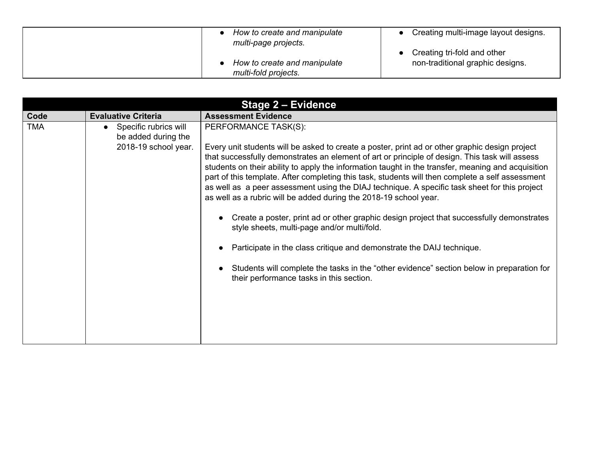| How to create and manipulate<br>multi-page projects. | Creating multi-image layout designs. |
|------------------------------------------------------|--------------------------------------|
|                                                      | Creating tri-fold and other          |
| How to create and manipulate                         | non-traditional graphic designs.     |
| multi-fold projects.                                 |                                      |

| <b>Stage 2 - Evidence</b> |                                                                                   |                                                                                                                                                                                                                                                                                                                                                                                                                                                                                                                                                                                                          |  |
|---------------------------|-----------------------------------------------------------------------------------|----------------------------------------------------------------------------------------------------------------------------------------------------------------------------------------------------------------------------------------------------------------------------------------------------------------------------------------------------------------------------------------------------------------------------------------------------------------------------------------------------------------------------------------------------------------------------------------------------------|--|
| Code                      | <b>Evaluative Criteria</b>                                                        | <b>Assessment Evidence</b>                                                                                                                                                                                                                                                                                                                                                                                                                                                                                                                                                                               |  |
| <b>TMA</b>                | Specific rubrics will<br>$\bullet$<br>be added during the<br>2018-19 school year. | PERFORMANCE TASK(S):<br>Every unit students will be asked to create a poster, print ad or other graphic design project<br>that successfully demonstrates an element of art or principle of design. This task will assess<br>students on their ability to apply the information taught in the transfer, meaning and acquisition<br>part of this template. After completing this task, students will then complete a self assessment<br>as well as a peer assessment using the DIAJ technique. A specific task sheet for this project<br>as well as a rubric will be added during the 2018-19 school year. |  |
|                           |                                                                                   | Create a poster, print ad or other graphic design project that successfully demonstrates<br>style sheets, multi-page and/or multi/fold.<br>Participate in the class critique and demonstrate the DAIJ technique.<br>Students will complete the tasks in the "other evidence" section below in preparation for<br>their performance tasks in this section.                                                                                                                                                                                                                                                |  |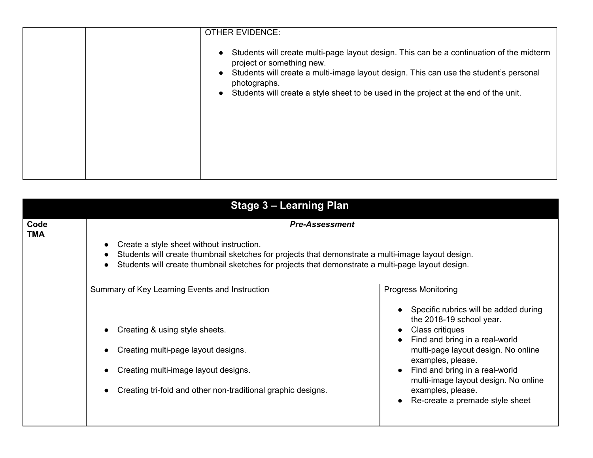| <b>OTHER EVIDENCE:</b>                                                                                                                                                                                                                                                                                                                           |
|--------------------------------------------------------------------------------------------------------------------------------------------------------------------------------------------------------------------------------------------------------------------------------------------------------------------------------------------------|
| Students will create multi-page layout design. This can be a continuation of the midterm<br>$\bullet$<br>project or something new.<br>Students will create a multi-image layout design. This can use the student's personal<br>$\bullet$<br>photographs.<br>Students will create a style sheet to be used in the project at the end of the unit. |
|                                                                                                                                                                                                                                                                                                                                                  |

| <b>Stage 3 - Learning Plan</b> |                                                                                                                                                                                                                                                                               |                                                                                                                                                                                                                                                                                                                                                                                           |  |
|--------------------------------|-------------------------------------------------------------------------------------------------------------------------------------------------------------------------------------------------------------------------------------------------------------------------------|-------------------------------------------------------------------------------------------------------------------------------------------------------------------------------------------------------------------------------------------------------------------------------------------------------------------------------------------------------------------------------------------|--|
| Code<br><b>TMA</b>             | <b>Pre-Assessment</b><br>Create a style sheet without instruction.<br>Students will create thumbnail sketches for projects that demonstrate a multi-image layout design.<br>Students will create thumbnail sketches for projects that demonstrate a multi-page layout design. |                                                                                                                                                                                                                                                                                                                                                                                           |  |
|                                | Summary of Key Learning Events and Instruction<br>Creating & using style sheets.<br>Creating multi-page layout designs.<br>Creating multi-image layout designs.<br>Creating tri-fold and other non-traditional graphic designs.                                               | <b>Progress Monitoring</b><br>Specific rubrics will be added during<br>the 2018-19 school year.<br>Class critiques<br>$\bullet$<br>Find and bring in a real-world<br>multi-page layout design. No online<br>examples, please.<br>Find and bring in a real-world<br>$\bullet$<br>multi-image layout design. No online<br>examples, please.<br>Re-create a premade style sheet<br>$\bullet$ |  |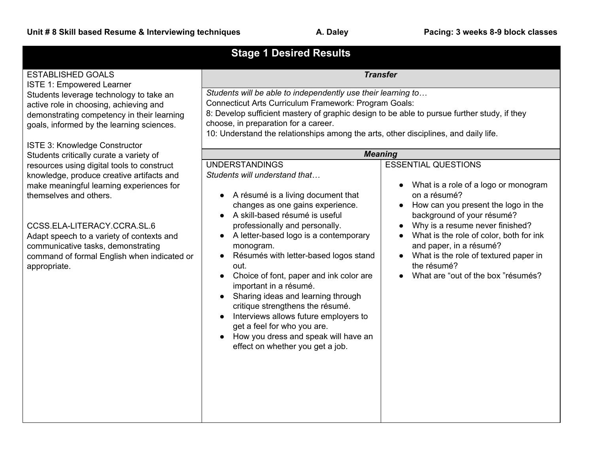| <b>Stage 1 Desired Results</b>                                                                                                                                                                                                                                                                                                                                                                                             |                                                                                                                                                                                                                                                                                                                                                                                                                                                                                                                                                                                                                    |                                                                                                                                                                                                                                                                                                                                                                             |  |
|----------------------------------------------------------------------------------------------------------------------------------------------------------------------------------------------------------------------------------------------------------------------------------------------------------------------------------------------------------------------------------------------------------------------------|--------------------------------------------------------------------------------------------------------------------------------------------------------------------------------------------------------------------------------------------------------------------------------------------------------------------------------------------------------------------------------------------------------------------------------------------------------------------------------------------------------------------------------------------------------------------------------------------------------------------|-----------------------------------------------------------------------------------------------------------------------------------------------------------------------------------------------------------------------------------------------------------------------------------------------------------------------------------------------------------------------------|--|
| <b>ESTABLISHED GOALS</b><br><b>ISTE 1: Empowered Learner</b>                                                                                                                                                                                                                                                                                                                                                               | <b>Transfer</b>                                                                                                                                                                                                                                                                                                                                                                                                                                                                                                                                                                                                    |                                                                                                                                                                                                                                                                                                                                                                             |  |
| Students leverage technology to take an<br>active role in choosing, achieving and<br>demonstrating competency in their learning<br>goals, informed by the learning sciences.                                                                                                                                                                                                                                               | Students will be able to independently use their learning to<br>Connecticut Arts Curriculum Framework: Program Goals:<br>8: Develop sufficient mastery of graphic design to be able to pursue further study, if they<br>choose, in preparation for a career.<br>10: Understand the relationships among the arts, other disciplines, and daily life.                                                                                                                                                                                                                                                                |                                                                                                                                                                                                                                                                                                                                                                             |  |
|                                                                                                                                                                                                                                                                                                                                                                                                                            | <b>Meaning</b>                                                                                                                                                                                                                                                                                                                                                                                                                                                                                                                                                                                                     |                                                                                                                                                                                                                                                                                                                                                                             |  |
| ISTE 3: Knowledge Constructor<br>Students critically curate a variety of<br>resources using digital tools to construct<br>knowledge, produce creative artifacts and<br>make meaningful learning experiences for<br>themselves and others.<br>CCSS.ELA-LITERACY.CCRA.SL.6<br>Adapt speech to a variety of contexts and<br>communicative tasks, demonstrating<br>command of formal English when indicated or<br>appropriate. | <b>UNDERSTANDINGS</b><br>Students will understand that<br>• A résumé is a living document that<br>changes as one gains experience.<br>• A skill-based résumé is useful<br>professionally and personally.<br>A letter-based logo is a contemporary<br>monogram.<br>Résumés with letter-based logos stand<br>out.<br>Choice of font, paper and ink color are<br>important in a résumé.<br>Sharing ideas and learning through<br>critique strengthens the résumé.<br>Interviews allows future employers to<br>get a feel for who you are.<br>How you dress and speak will have an<br>effect on whether you get a job. | <b>ESSENTIAL QUESTIONS</b><br>What is a role of a logo or monogram<br>on a résumé?<br>How can you present the logo in the<br>background of your résumé?<br>Why is a resume never finished?<br>$\bullet$<br>What is the role of color, both for ink<br>and paper, in a résumé?<br>What is the role of textured paper in<br>the résumé?<br>What are "out of the box "résumés? |  |
|                                                                                                                                                                                                                                                                                                                                                                                                                            |                                                                                                                                                                                                                                                                                                                                                                                                                                                                                                                                                                                                                    |                                                                                                                                                                                                                                                                                                                                                                             |  |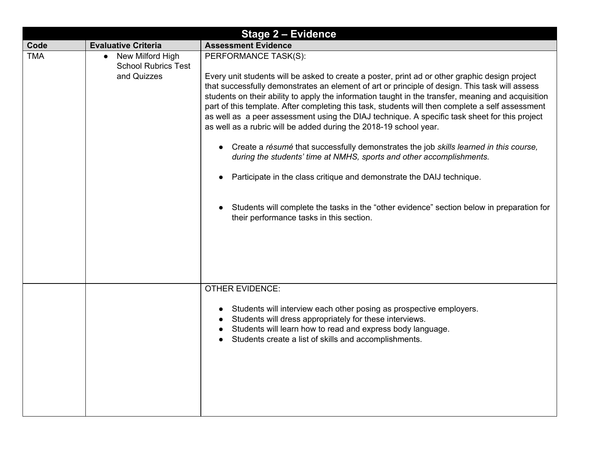| <b>Stage 2 - Evidence</b> |                                                                            |                                                                                                                                                                                                                                                                                                                                                                                                                                                                                                                                                                                                                                                                                                                                                                                                                                                                                                                                                                                             |  |
|---------------------------|----------------------------------------------------------------------------|---------------------------------------------------------------------------------------------------------------------------------------------------------------------------------------------------------------------------------------------------------------------------------------------------------------------------------------------------------------------------------------------------------------------------------------------------------------------------------------------------------------------------------------------------------------------------------------------------------------------------------------------------------------------------------------------------------------------------------------------------------------------------------------------------------------------------------------------------------------------------------------------------------------------------------------------------------------------------------------------|--|
| Code                      | <b>Evaluative Criteria</b>                                                 | <b>Assessment Evidence</b>                                                                                                                                                                                                                                                                                                                                                                                                                                                                                                                                                                                                                                                                                                                                                                                                                                                                                                                                                                  |  |
| <b>TMA</b>                | New Milford High<br>$\bullet$<br><b>School Rubrics Test</b><br>and Quizzes | PERFORMANCE TASK(S):<br>Every unit students will be asked to create a poster, print ad or other graphic design project<br>that successfully demonstrates an element of art or principle of design. This task will assess<br>students on their ability to apply the information taught in the transfer, meaning and acquisition<br>part of this template. After completing this task, students will then complete a self assessment<br>as well as a peer assessment using the DIAJ technique. A specific task sheet for this project<br>as well as a rubric will be added during the 2018-19 school year.<br>Create a résumé that successfully demonstrates the job skills learned in this course,<br>during the students' time at NMHS, sports and other accomplishments.<br>Participate in the class critique and demonstrate the DAIJ technique.<br>Students will complete the tasks in the "other evidence" section below in preparation for<br>their performance tasks in this section. |  |
|                           |                                                                            | <b>OTHER EVIDENCE:</b><br>Students will interview each other posing as prospective employers.<br>Students will dress appropriately for these interviews.<br>Students will learn how to read and express body language.<br>Students create a list of skills and accomplishments.                                                                                                                                                                                                                                                                                                                                                                                                                                                                                                                                                                                                                                                                                                             |  |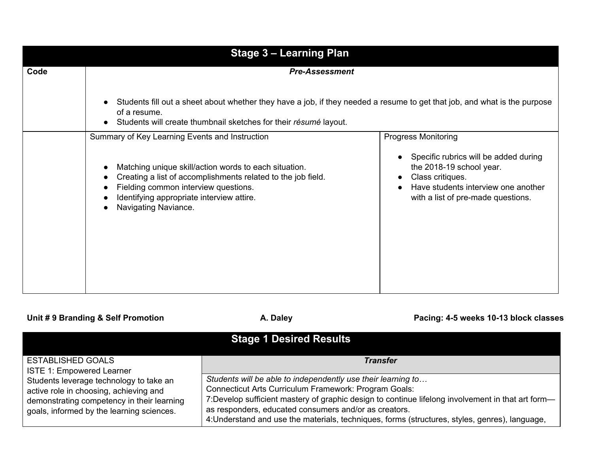| <b>Stage 3 - Learning Plan</b> |                                                                                                                                                                                                                                                                   |                                                                                                                                                                    |  |
|--------------------------------|-------------------------------------------------------------------------------------------------------------------------------------------------------------------------------------------------------------------------------------------------------------------|--------------------------------------------------------------------------------------------------------------------------------------------------------------------|--|
| Code                           | <b>Pre-Assessment</b>                                                                                                                                                                                                                                             |                                                                                                                                                                    |  |
|                                | Students fill out a sheet about whether they have a job, if they needed a resume to get that job, and what is the purpose<br>$\bullet$<br>of a resume.<br>Students will create thumbnail sketches for their résumé layout.<br>$\bullet$                           |                                                                                                                                                                    |  |
|                                | Summary of Key Learning Events and Instruction                                                                                                                                                                                                                    | <b>Progress Monitoring</b>                                                                                                                                         |  |
|                                | Matching unique skill/action words to each situation.<br>$\bullet$<br>Creating a list of accomplishments related to the job field.<br>6<br>Fielding common interview questions.<br>Identifying appropriate interview attire.<br>Navigating Naviance.<br>$\bullet$ | Specific rubrics will be added during<br>the 2018-19 school year.<br>Class critiques.<br>Have students interview one another<br>with a list of pre-made questions. |  |

## Unit # 9 Branding & Self Promotion **A. Daley A. Daley Pacing: 4-5 weeks 10-13 block classes**

| <b>Stage 1 Desired Results</b>                                                                                                                                               |                                                                                                                                                                                                                                                                                                                                                                                        |  |  |
|------------------------------------------------------------------------------------------------------------------------------------------------------------------------------|----------------------------------------------------------------------------------------------------------------------------------------------------------------------------------------------------------------------------------------------------------------------------------------------------------------------------------------------------------------------------------------|--|--|
| <b>ESTABLISHED GOALS</b><br><b>ISTE 1: Empowered Learner</b>                                                                                                                 | <b>Transfer</b>                                                                                                                                                                                                                                                                                                                                                                        |  |  |
| Students leverage technology to take an<br>active role in choosing, achieving and<br>demonstrating competency in their learning<br>goals, informed by the learning sciences. | Students will be able to independently use their learning to<br>Connecticut Arts Curriculum Framework: Program Goals:<br>7: Develop sufficient mastery of graphic design to continue lifelong involvement in that art form-<br>as responders, educated consumers and/or as creators.<br>4: Understand and use the materials, techniques, forms (structures, styles, genres), language, |  |  |

DO NOT DISTRIBUTE NOT BOE APPROVED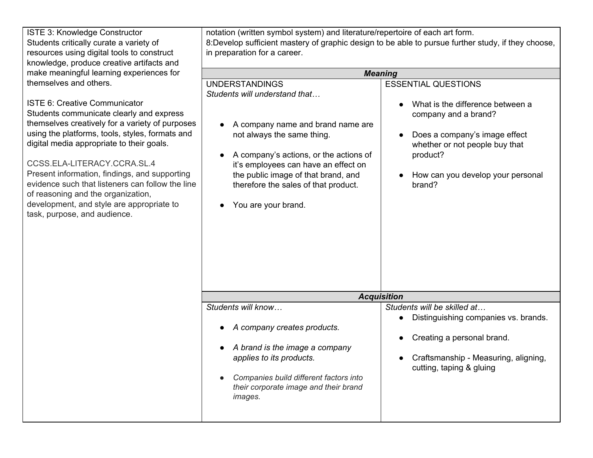| ISTE 3: Knowledge Constructor<br>Students critically curate a variety of<br>resources using digital tools to construct<br>knowledge, produce creative artifacts and                                                                                                                                                                                                                                                                                                                                                  | notation (written symbol system) and literature/repertoire of each art form.<br>8: Develop sufficient mastery of graphic design to be able to pursue further study, if they choose,<br>in preparation for a career.                                                                                               |                                                                                                                                                                                                                      |  |  |
|----------------------------------------------------------------------------------------------------------------------------------------------------------------------------------------------------------------------------------------------------------------------------------------------------------------------------------------------------------------------------------------------------------------------------------------------------------------------------------------------------------------------|-------------------------------------------------------------------------------------------------------------------------------------------------------------------------------------------------------------------------------------------------------------------------------------------------------------------|----------------------------------------------------------------------------------------------------------------------------------------------------------------------------------------------------------------------|--|--|
| make meaningful learning experiences for                                                                                                                                                                                                                                                                                                                                                                                                                                                                             | <b>Meaning</b>                                                                                                                                                                                                                                                                                                    |                                                                                                                                                                                                                      |  |  |
| themselves and others.<br><b>ISTE 6: Creative Communicator</b><br>Students communicate clearly and express<br>themselves creatively for a variety of purposes<br>using the platforms, tools, styles, formats and<br>digital media appropriate to their goals.<br>CCSS.ELA-LITERACY.CCRA.SL.4<br>Present information, findings, and supporting<br>evidence such that listeners can follow the line<br>of reasoning and the organization,<br>development, and style are appropriate to<br>task, purpose, and audience. | <b>UNDERSTANDINGS</b><br>Students will understand that<br>A company name and brand name are<br>not always the same thing.<br>A company's actions, or the actions of<br>it's employees can have an effect on<br>the public image of that brand, and<br>therefore the sales of that product.<br>You are your brand. | <b>ESSENTIAL QUESTIONS</b><br>What is the difference between a<br>company and a brand?<br>Does a company's image effect<br>whether or not people buy that<br>product?<br>How can you develop your personal<br>brand? |  |  |
|                                                                                                                                                                                                                                                                                                                                                                                                                                                                                                                      |                                                                                                                                                                                                                                                                                                                   |                                                                                                                                                                                                                      |  |  |
|                                                                                                                                                                                                                                                                                                                                                                                                                                                                                                                      |                                                                                                                                                                                                                                                                                                                   | <b>Acquisition</b>                                                                                                                                                                                                   |  |  |
|                                                                                                                                                                                                                                                                                                                                                                                                                                                                                                                      | Students will know<br>A company creates products.<br>A brand is the image a company<br>applies to its products.<br>Companies build different factors into<br>their corporate image and their brand<br>images.                                                                                                     | Students will be skilled at<br>Distinguishing companies vs. brands.<br>Creating a personal brand.<br>Craftsmanship - Measuring, aligning,<br>cutting, taping & gluing                                                |  |  |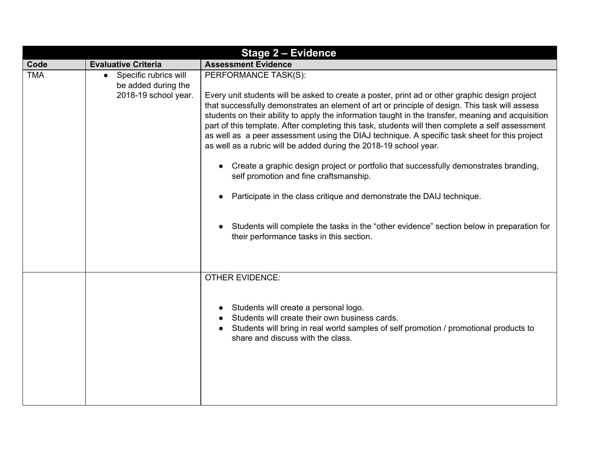| <b>Stage 2 - Evidence</b> |                                                                                   |                                                                                                                                                                                                                                                                                                                                                                                                                                                                                                                                                                                                                                                                                                                                                                                                                                                                                                                                                                            |  |
|---------------------------|-----------------------------------------------------------------------------------|----------------------------------------------------------------------------------------------------------------------------------------------------------------------------------------------------------------------------------------------------------------------------------------------------------------------------------------------------------------------------------------------------------------------------------------------------------------------------------------------------------------------------------------------------------------------------------------------------------------------------------------------------------------------------------------------------------------------------------------------------------------------------------------------------------------------------------------------------------------------------------------------------------------------------------------------------------------------------|--|
| Code                      | <b>Evaluative Criteria</b>                                                        | <b>Assessment Evidence</b>                                                                                                                                                                                                                                                                                                                                                                                                                                                                                                                                                                                                                                                                                                                                                                                                                                                                                                                                                 |  |
| <b>TMA</b>                | Specific rubrics will<br>$\bullet$<br>be added during the<br>2018-19 school year. | PERFORMANCE TASK(S):<br>Every unit students will be asked to create a poster, print ad or other graphic design project<br>that successfully demonstrates an element of art or principle of design. This task will assess<br>students on their ability to apply the information taught in the transfer, meaning and acquisition<br>part of this template. After completing this task, students will then complete a self assessment<br>as well as a peer assessment using the DIAJ technique. A specific task sheet for this project<br>as well as a rubric will be added during the 2018-19 school year.<br>Create a graphic design project or portfolio that successfully demonstrates branding,<br>$\bullet$<br>self promotion and fine craftsmanship.<br>Participate in the class critique and demonstrate the DAIJ technique.<br>Students will complete the tasks in the "other evidence" section below in preparation for<br>their performance tasks in this section. |  |
|                           |                                                                                   | <b>OTHER EVIDENCE:</b><br>Students will create a personal logo.<br>$\bullet$<br>Students will create their own business cards.<br>Students will bring in real world samples of self promotion / promotional products to<br>share and discuss with the class.                                                                                                                                                                                                                                                                                                                                                                                                                                                                                                                                                                                                                                                                                                               |  |